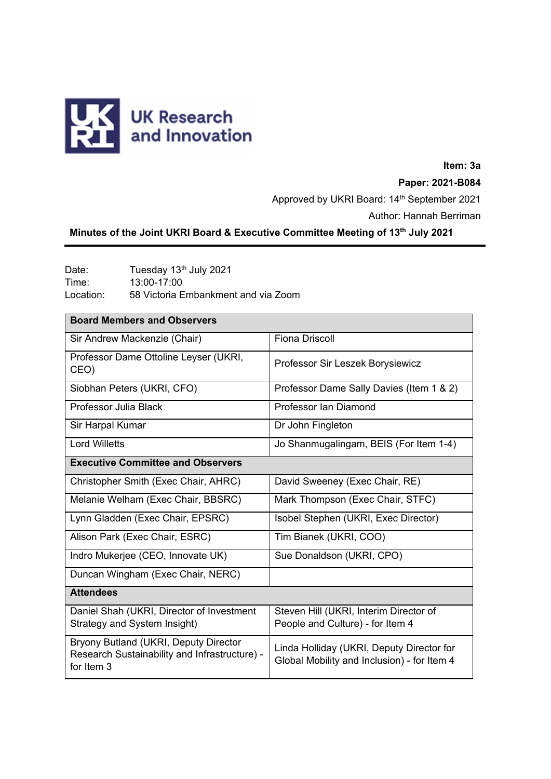

# **Item: 3a Paper: 2021-B084** Approved by UKRI Board: 14<sup>th</sup> September 2021 Author: Hannah Berriman

# **Minutes of the Joint UKRI Board & Executive Committee Meeting of 13th July 2021**

Date: Tuesday 13<sup>th</sup> July 2021<br>Time: 13:00-17:00 Time: 13:00-17:00 Location: 58 Victoria Embankment and via Zoom

| <b>Board Members and Observers</b>                                                                   |                                                                                          |  |
|------------------------------------------------------------------------------------------------------|------------------------------------------------------------------------------------------|--|
| Sir Andrew Mackenzie (Chair)                                                                         | <b>Fiona Driscoll</b>                                                                    |  |
| Professor Dame Ottoline Leyser (UKRI,<br>CEO)                                                        | Professor Sir Leszek Borysiewicz                                                         |  |
| Siobhan Peters (UKRI, CFO)                                                                           | Professor Dame Sally Davies (Item 1 & 2)                                                 |  |
| Professor Julia Black                                                                                | Professor Ian Diamond                                                                    |  |
| Sir Harpal Kumar                                                                                     | Dr John Fingleton                                                                        |  |
| <b>Lord Willetts</b>                                                                                 | Jo Shanmugalingam, BEIS (For Item 1-4)                                                   |  |
| <b>Executive Committee and Observers</b>                                                             |                                                                                          |  |
| Christopher Smith (Exec Chair, AHRC)                                                                 | David Sweeney (Exec Chair, RE)                                                           |  |
| Melanie Welham (Exec Chair, BBSRC)                                                                   | Mark Thompson (Exec Chair, STFC)                                                         |  |
| Lynn Gladden (Exec Chair, EPSRC)                                                                     | Isobel Stephen (UKRI, Exec Director)                                                     |  |
| Alison Park (Exec Chair, ESRC)                                                                       | Tim Bianek (UKRI, COO)                                                                   |  |
| Indro Mukerjee (CEO, Innovate UK)                                                                    | Sue Donaldson (UKRI, CPO)                                                                |  |
| Duncan Wingham (Exec Chair, NERC)                                                                    |                                                                                          |  |
| <b>Attendees</b>                                                                                     |                                                                                          |  |
| Daniel Shah (UKRI, Director of Investment<br>Strategy and System Insight)                            | Steven Hill (UKRI, Interim Director of<br>People and Culture) - for Item 4               |  |
| Bryony Butland (UKRI, Deputy Director<br>Research Sustainability and Infrastructure) -<br>for Item 3 | Linda Holliday (UKRI, Deputy Director for<br>Global Mobility and Inclusion) - for Item 4 |  |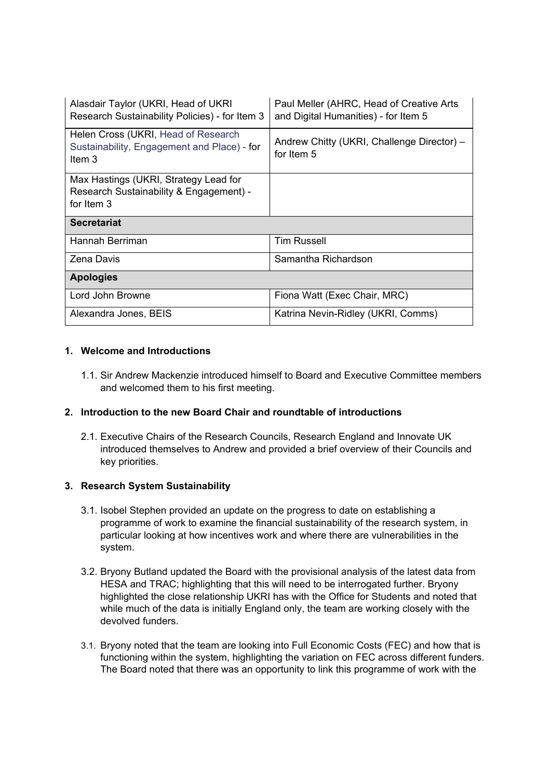| Alasdair Taylor (UKRI, Head of UKRI<br>Research Sustainability Policies) - for Item 3          | Paul Meller (AHRC, Head of Creative Arts<br>and Digital Humanities) - for Item 5 |
|------------------------------------------------------------------------------------------------|----------------------------------------------------------------------------------|
| Helen Cross (UKRI, Head of Research<br>Sustainability, Engagement and Place) - for<br>Item $3$ | Andrew Chitty (UKRI, Challenge Director) -<br>for Item 5                         |
| Max Hastings (UKRI, Strategy Lead for<br>Research Sustainability & Engagement) -<br>for Item 3 |                                                                                  |
| <b>Secretariat</b>                                                                             |                                                                                  |
| Hannah Berriman                                                                                | <b>Tim Russell</b>                                                               |
| <b>Zena Davis</b>                                                                              | Samantha Richardson                                                              |
| <b>Apologies</b>                                                                               |                                                                                  |
| Lord John Browne                                                                               | Fiona Watt (Exec Chair, MRC)                                                     |
| Alexandra Jones, BEIS                                                                          | Katrina Nevin-Ridley (UKRI, Comms)                                               |

# **1. Welcome and Introductions**

1.1. Sir Andrew Mackenzie introduced himself to Board and Executive Committee members and welcomed them to his first meeting.

## **2. Introduction to the new Board Chair and roundtable of introductions**

2.1. Executive Chairs of the Research Councils, Research England and Innovate UK introduced themselves to Andrew and provided a brief overview of their Councils and key priorities.

## **3. Research System Sustainability**

- 3.1. Isobel Stephen provided an update on the progress to date on establishing a programme of work to examine the financial sustainability of the research system, in particular looking at how incentives work and where there are vulnerabilities in the system.
- 3.2. Bryony Butland updated the Board with the provisional analysis of the latest data from HESA and TRAC; highlighting that this will need to be interrogated further. Bryony highlighted the close relationship UKRI has with the Office for Students and noted that while much of the data is initially England only, the team are working closely with the devolved funders.
- 3.1. Bryony noted that the team are looking into Full Economic Costs (FEC) and how that is functioning within the system, highlighting the variation on FEC across different funders. The Board noted that there was an opportunity to link this programme of work with the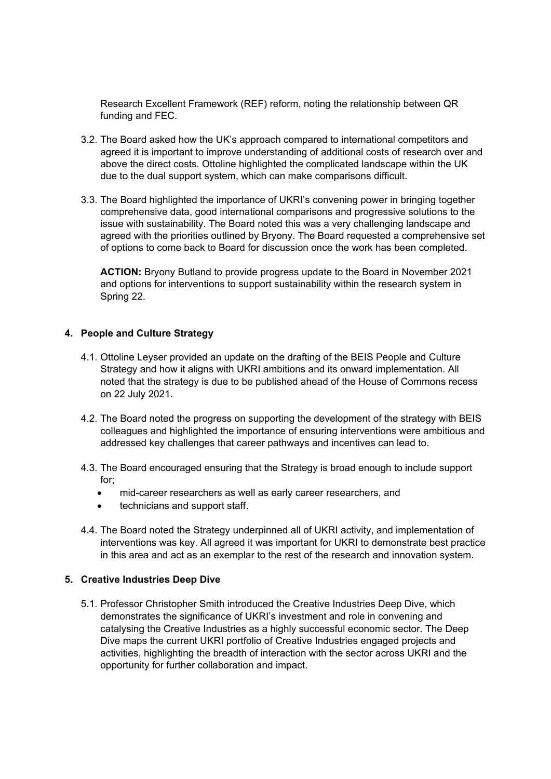Research Excellent Framework (REF) reform, noting the relationship between QR funding and FEC.

- 3.2. The Board asked how the UK's approach compared to international competitors and agreed it is important to improve understanding of additional costs of research over and above the direct costs. Ottoline highlighted the complicated landscape within the UK due to the dual support system, which can make comparisons difficult.
- 3.3. The Board highlighted the importance of UKRI's convening power in bringing together comprehensive data, good international comparisons and progressive solutions to the issue with sustainability. The Board noted this was a very challenging landscape and agreed with the priorities outlined by Bryony. The Board requested a comprehensive set of options to come back to Board for discussion once the work has been completed.

**ACTION:** Bryony Butland to provide progress update to the Board in November 2021 and options for interventions to support sustainability within the research system in Spring 22.

#### **4. People and Culture Strategy**

- 4.1. Ottoline Leyser provided an update on the drafting of the BEIS People and Culture Strategy and how it aligns with UKRI ambitions and its onward implementation. All noted that the strategy is due to be published ahead of the House of Commons recess on 22 July 2021.
- 4.2. The Board noted the progress on supporting the development of the strategy with BEIS colleagues and highlighted the importance of ensuring interventions were ambitious and addressed key challenges that career pathways and incentives can lead to.
- 4.3. The Board encouraged ensuring that the Strategy is broad enough to include support for;
	- mid-career researchers as well as early career researchers, and
	- technicians and support staff.
- 4.4. The Board noted the Strategy underpinned all of UKRI activity, and implementation of interventions was key. All agreed it was important for UKRI to demonstrate best practice in this area and act as an exemplar to the rest of the research and innovation system.

#### **5. Creative Industries Deep Dive**

5.1. Professor Christopher Smith introduced the Creative Industries Deep Dive, which demonstrates the significance of UKRI's investment and role in convening and catalysing the Creative Industries as a highly successful economic sector. The Deep Dive maps the current UKRI portfolio of Creative Industries engaged projects and activities, highlighting the breadth of interaction with the sector across UKRI and the opportunity for further collaboration and impact.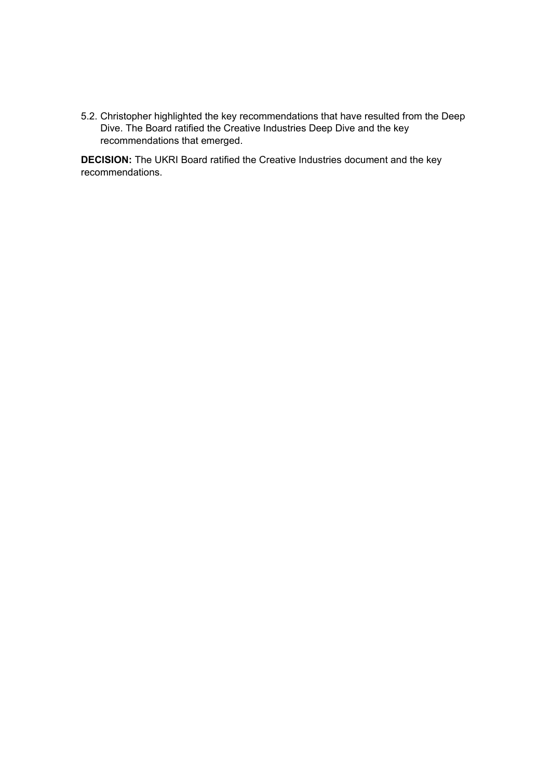5.2. Christopher highlighted the key recommendations that have resulted from the Deep Dive. The Board ratified the Creative Industries Deep Dive and the key recommendations that emerged.

**DECISION:** The UKRI Board ratified the Creative Industries document and the key recommendations.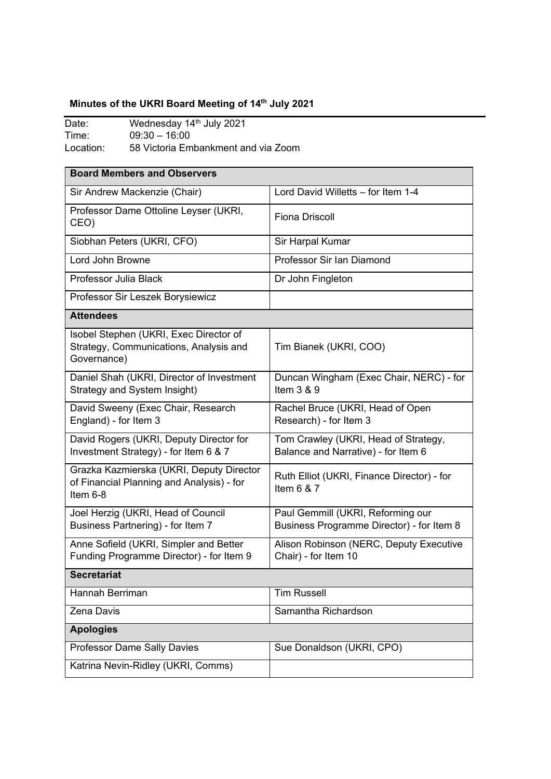# Minutes of the UKRI Board Meeting of 14<sup>th</sup> July 2021

| Date:     | Wednesday 14th July 2021            |
|-----------|-------------------------------------|
| Time:     | $09:30 - 16:00$                     |
| Location: | 58 Victoria Embankment and via Zoom |

| <b>Board Members and Observers</b>                                                                |                                                                                |  |
|---------------------------------------------------------------------------------------------------|--------------------------------------------------------------------------------|--|
| Sir Andrew Mackenzie (Chair)                                                                      | Lord David Willetts - for Item 1-4                                             |  |
| Professor Dame Ottoline Leyser (UKRI,<br>CEO)                                                     | <b>Fiona Driscoll</b>                                                          |  |
| Siobhan Peters (UKRI, CFO)                                                                        | Sir Harpal Kumar                                                               |  |
| Lord John Browne                                                                                  | Professor Sir Ian Diamond                                                      |  |
| Professor Julia Black                                                                             | Dr John Fingleton                                                              |  |
| Professor Sir Leszek Borysiewicz                                                                  |                                                                                |  |
| <b>Attendees</b>                                                                                  |                                                                                |  |
| Isobel Stephen (UKRI, Exec Director of<br>Strategy, Communications, Analysis and<br>Governance)   | Tim Bianek (UKRI, COO)                                                         |  |
| Daniel Shah (UKRI, Director of Investment<br>Strategy and System Insight)                         | Duncan Wingham (Exec Chair, NERC) - for<br>Item $3 & 9$                        |  |
| David Sweeny (Exec Chair, Research<br>England) - for Item 3                                       | Rachel Bruce (UKRI, Head of Open<br>Research) - for Item 3                     |  |
| David Rogers (UKRI, Deputy Director for<br>Investment Strategy) - for Item 6 & 7                  | Tom Crawley (UKRI, Head of Strategy,<br>Balance and Narrative) - for Item 6    |  |
| Grazka Kazmierska (UKRI, Deputy Director<br>of Financial Planning and Analysis) - for<br>Item 6-8 | Ruth Elliot (UKRI, Finance Director) - for<br>Item $6 & 7$                     |  |
| Joel Herzig (UKRI, Head of Council<br>Business Partnering) - for Item 7                           | Paul Gemmill (UKRI, Reforming our<br>Business Programme Director) - for Item 8 |  |
| Anne Sofield (UKRI, Simpler and Better<br>Funding Programme Director) - for Item 9                | Alison Robinson (NERC, Deputy Executive<br>Chair) - for Item 10                |  |
| <b>Secretariat</b>                                                                                |                                                                                |  |
| Hannah Berriman                                                                                   | <b>Tim Russell</b>                                                             |  |
| Zena Davis                                                                                        | Samantha Richardson                                                            |  |
| <b>Apologies</b>                                                                                  |                                                                                |  |
| Professor Dame Sally Davies                                                                       | Sue Donaldson (UKRI, CPO)                                                      |  |
| Katrina Nevin-Ridley (UKRI, Comms)                                                                |                                                                                |  |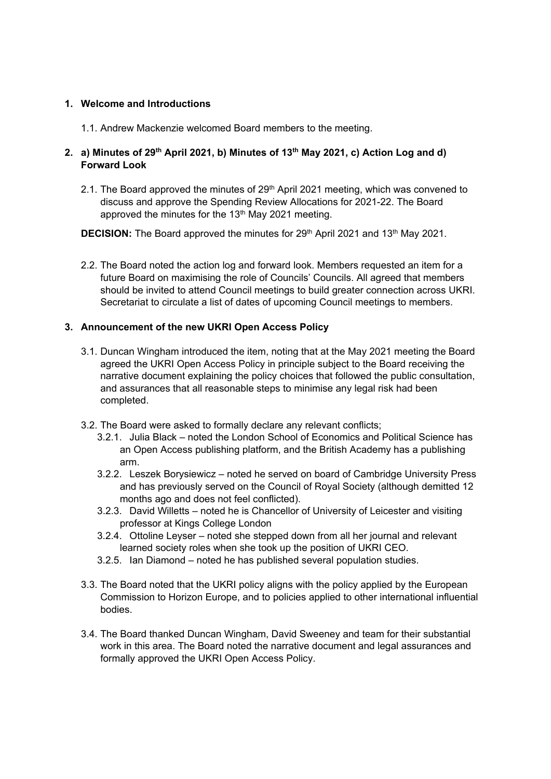#### **1. Welcome and Introductions**

1.1. Andrew Mackenzie welcomed Board members to the meeting.

## **2. a) Minutes of 29th April 2021, b) Minutes of 13th May 2021, c) Action Log and d) Forward Look**

2.1. The Board approved the minutes of  $29<sup>th</sup>$  April 2021 meeting, which was convened to discuss and approve the Spending Review Allocations for 2021-22. The Board approved the minutes for the 13<sup>th</sup> May 2021 meeting.

**DECISION:** The Board approved the minutes for 29<sup>th</sup> April 2021 and 13<sup>th</sup> May 2021.

2.2. The Board noted the action log and forward look. Members requested an item for a future Board on maximising the role of Councils' Councils. All agreed that members should be invited to attend Council meetings to build greater connection across UKRI. Secretariat to circulate a list of dates of upcoming Council meetings to members.

## **3. Announcement of the new UKRI Open Access Policy**

- 3.1. Duncan Wingham introduced the item, noting that at the May 2021 meeting the Board agreed the UKRI Open Access Policy in principle subject to the Board receiving the narrative document explaining the policy choices that followed the public consultation, and assurances that all reasonable steps to minimise any legal risk had been completed.
- 3.2. The Board were asked to formally declare any relevant conflicts;
	- 3.2.1. Julia Black noted the London School of Economics and Political Science has an Open Access publishing platform, and the British Academy has a publishing arm.
	- 3.2.2. Leszek Borysiewicz noted he served on board of Cambridge University Press and has previously served on the Council of Royal Society (although demitted 12 months ago and does not feel conflicted).
	- 3.2.3. David Willetts noted he is Chancellor of University of Leicester and visiting professor at Kings College London
	- 3.2.4. Ottoline Leyser noted she stepped down from all her journal and relevant learned society roles when she took up the position of UKRI CEO.
	- 3.2.5. Ian Diamond noted he has published several population studies.
- 3.3. The Board noted that the UKRI policy aligns with the policy applied by the European Commission to Horizon Europe, and to policies applied to other international influential bodies.
- 3.4. The Board thanked Duncan Wingham, David Sweeney and team for their substantial work in this area. The Board noted the narrative document and legal assurances and formally approved the UKRI Open Access Policy.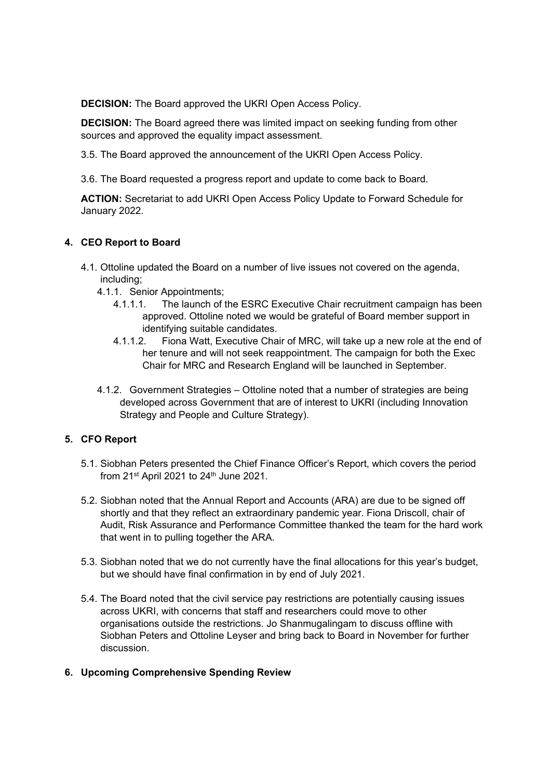**DECISION:** The Board approved the UKRI Open Access Policy.

**DECISION:** The Board agreed there was limited impact on seeking funding from other sources and approved the equality impact assessment.

- 3.5. The Board approved the announcement of the UKRI Open Access Policy.
- 3.6. The Board requested a progress report and update to come back to Board.

**ACTION:** Secretariat to add UKRI Open Access Policy Update to Forward Schedule for January 2022.

## **4. CEO Report to Board**

- 4.1. Ottoline updated the Board on a number of live issues not covered on the agenda, including;
	- 4.1.1. Senior Appointments;
		- 4.1.1.1. The launch of the ESRC Executive Chair recruitment campaign has been approved. Ottoline noted we would be grateful of Board member support in identifying suitable candidates.
		- 4.1.1.2. Fiona Watt, Executive Chair of MRC, will take up a new role at the end of her tenure and will not seek reappointment. The campaign for both the Exec Chair for MRC and Research England will be launched in September.
	- 4.1.2. Government Strategies Ottoline noted that a number of strategies are being developed across Government that are of interest to UKRI (including Innovation Strategy and People and Culture Strategy).

## **5. CFO Report**

- 5.1. Siobhan Peters presented the Chief Finance Officer's Report, which covers the period from  $21^{st}$  April 2021 to  $24^{th}$  June 2021.
- 5.2. Siobhan noted that the Annual Report and Accounts (ARA) are due to be signed off shortly and that they reflect an extraordinary pandemic year. Fiona Driscoll, chair of Audit, Risk Assurance and Performance Committee thanked the team for the hard work that went in to pulling together the ARA.
- 5.3. Siobhan noted that we do not currently have the final allocations for this year's budget, but we should have final confirmation in by end of July 2021.
- 5.4. The Board noted that the civil service pay restrictions are potentially causing issues across UKRI, with concerns that staff and researchers could move to other organisations outside the restrictions. Jo Shanmugalingam to discuss offline with Siobhan Peters and Ottoline Leyser and bring back to Board in November for further discussion.

#### **6. Upcoming Comprehensive Spending Review**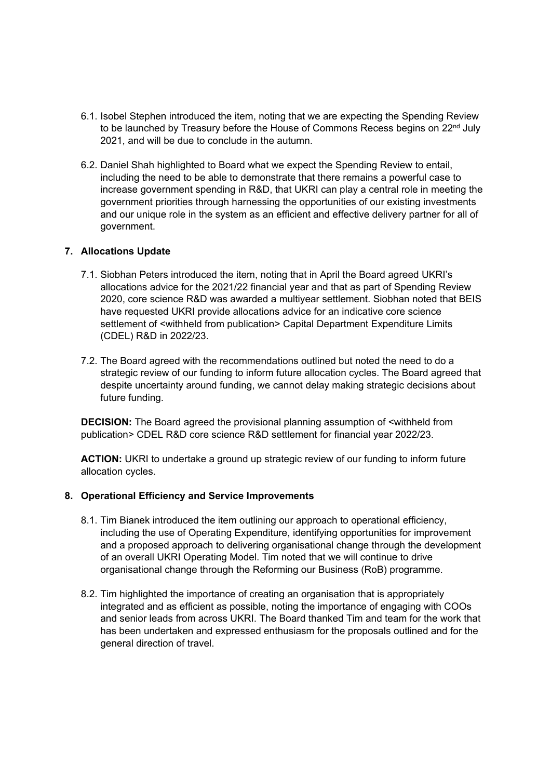- 6.1. Isobel Stephen introduced the item, noting that we are expecting the Spending Review to be launched by Treasury before the House of Commons Recess begins on 22<sup>nd</sup> July 2021, and will be due to conclude in the autumn.
- 6.2. Daniel Shah highlighted to Board what we expect the Spending Review to entail, including the need to be able to demonstrate that there remains a powerful case to increase government spending in R&D, that UKRI can play a central role in meeting the government priorities through harnessing the opportunities of our existing investments and our unique role in the system as an efficient and effective delivery partner for all of government.

#### **7. Allocations Update**

- 7.1. Siobhan Peters introduced the item, noting that in April the Board agreed UKRI's allocations advice for the 2021/22 financial year and that as part of Spending Review 2020, core science R&D was awarded a multiyear settlement. Siobhan noted that BEIS have requested UKRI provide allocations advice for an indicative core science settlement of <withheld from publication> Capital Department Expenditure Limits (CDEL) R&D in 2022/23.
- 7.2. The Board agreed with the recommendations outlined but noted the need to do a strategic review of our funding to inform future allocation cycles. The Board agreed that despite uncertainty around funding, we cannot delay making strategic decisions about future funding.

**DECISION:** The Board agreed the provisional planning assumption of <withheld from publication> CDEL R&D core science R&D settlement for financial year 2022/23.

**ACTION:** UKRI to undertake a ground up strategic review of our funding to inform future allocation cycles.

#### **8. Operational Efficiency and Service Improvements**

- 8.1. Tim Bianek introduced the item outlining our approach to operational efficiency, including the use of Operating Expenditure, identifying opportunities for improvement and a proposed approach to delivering organisational change through the development of an overall UKRI Operating Model. Tim noted that we will continue to drive organisational change through the Reforming our Business (RoB) programme.
- 8.2. Tim highlighted the importance of creating an organisation that is appropriately integrated and as efficient as possible, noting the importance of engaging with COOs and senior leads from across UKRI. The Board thanked Tim and team for the work that has been undertaken and expressed enthusiasm for the proposals outlined and for the general direction of travel.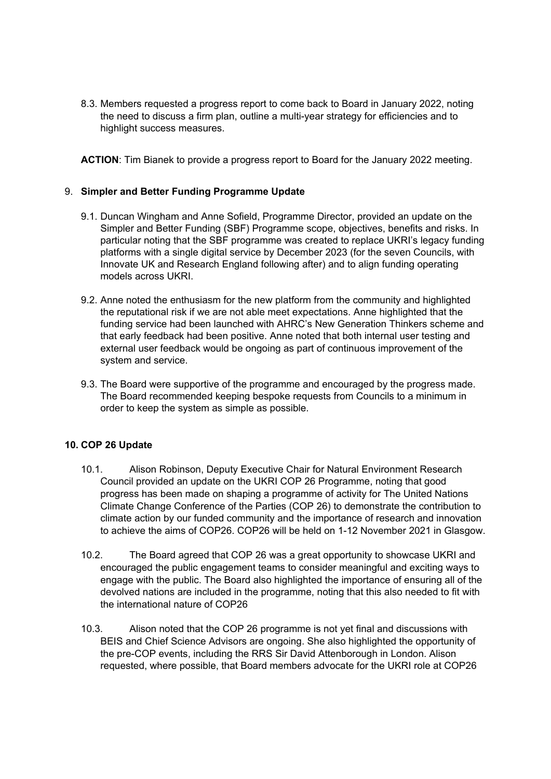8.3. Members requested a progress report to come back to Board in January 2022, noting the need to discuss a firm plan, outline a multi-year strategy for efficiencies and to highlight success measures.

**ACTION**: Tim Bianek to provide a progress report to Board for the January 2022 meeting.

### 9. **Simpler and Better Funding Programme Update**

- 9.1. Duncan Wingham and Anne Sofield, Programme Director, provided an update on the Simpler and Better Funding (SBF) Programme scope, objectives, benefits and risks. In particular noting that the SBF programme was created to replace UKRI's legacy funding platforms with a single digital service by December 2023 (for the seven Councils, with Innovate UK and Research England following after) and to align funding operating models across UKRI.
- 9.2. Anne noted the enthusiasm for the new platform from the community and highlighted the reputational risk if we are not able meet expectations. Anne highlighted that the funding service had been launched with AHRC's New Generation Thinkers scheme and that early feedback had been positive. Anne noted that both internal user testing and external user feedback would be ongoing as part of continuous improvement of the system and service.
- 9.3. The Board were supportive of the programme and encouraged by the progress made. The Board recommended keeping bespoke requests from Councils to a minimum in order to keep the system as simple as possible.

## **10. COP 26 Update**

- 10.1. Alison Robinson, Deputy Executive Chair for Natural Environment Research Council provided an update on the UKRI COP 26 Programme, noting that good progress has been made on shaping a programme of activity for The United Nations Climate Change Conference of the Parties (COP 26) to demonstrate the contribution to climate action by our funded community and the importance of research and innovation to achieve the aims of COP26. COP26 will be held on 1-12 November 2021 in Glasgow.
- 10.2. The Board agreed that COP 26 was a great opportunity to showcase UKRI and encouraged the public engagement teams to consider meaningful and exciting ways to engage with the public. The Board also highlighted the importance of ensuring all of the devolved nations are included in the programme, noting that this also needed to fit with the international nature of COP26
- 10.3. Alison noted that the COP 26 programme is not yet final and discussions with BEIS and Chief Science Advisors are ongoing. She also highlighted the opportunity of the pre-COP events, including the RRS Sir David Attenborough in London. Alison requested, where possible, that Board members advocate for the UKRI role at COP26